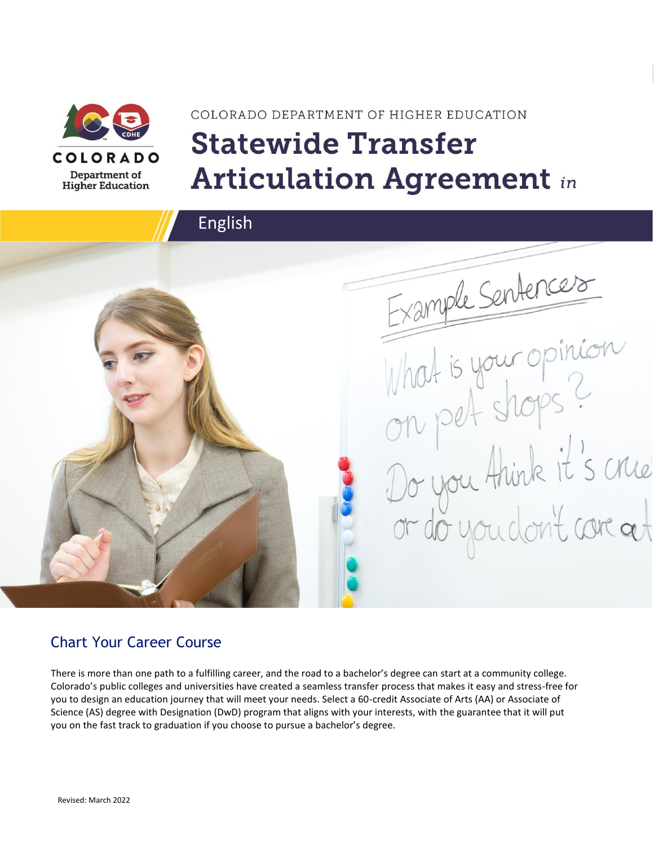

# COLORADO DEPARTMENT OF HIGHER EDUCATION **Statewide Transfer Articulation Agreement in**



### Chart Your Career Course

There is more than one path to a fulfilling career, and the road to a bachelor's degree can start at a community college. Colorado's public colleges and universities have created a seamless transfer process that makes it easy and stress-free for you to design an education journey that will meet your needs. Select a 60-credit Associate of Arts (AA) or Associate of Science (AS) degree with Designation (DwD) program that aligns with your interests, with the guarantee that it will put you on the fast track to graduation if you choose to pursue a bachelor's degree.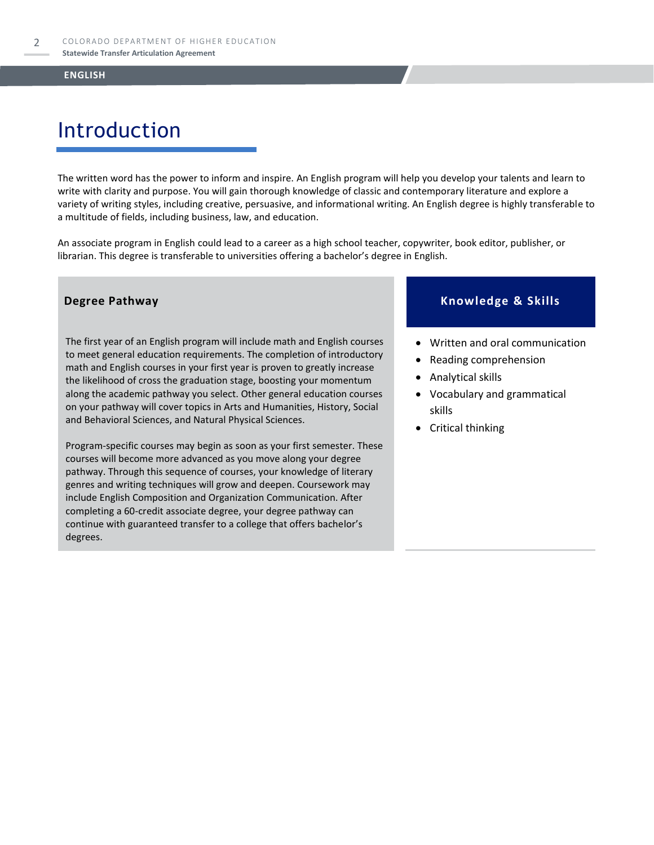# Introduction

The written word has the power to inform and inspire. An English program will help you develop your talents and learn to write with clarity and purpose. You will gain thorough knowledge of classic and contemporary literature and explore a variety of writing styles, including creative, persuasive, and informational writing. An English degree is highly transferable to a multitude of fields, including business, law, and education.

An associate program in English could lead to a career as a high school teacher, copywriter, book editor, publisher, or librarian. This degree is transferable to universities offering a bachelor's degree in English.

The first year of an English program will include math and English courses to meet general education requirements. The completion of introductory math and English courses in your first year is proven to greatly increase the likelihood of cross the graduation stage, boosting your momentum along the academic pathway you select. Other general education courses on your pathway will cover topics in Arts and Humanities, History, Social and Behavioral Sciences, and Natural Physical Sciences.

Program-specific courses may begin as soon as your first semester. These courses will become more advanced as you move along your degree pathway. Through this sequence of courses, your knowledge of literary genres and writing techniques will grow and deepen. Coursework may include English Composition and Organization Communication. After completing a 60-credit associate degree, your degree pathway can continue with guaranteed transfer to a college that offers bachelor's degrees.

#### **Degree Pathway Knowledge & Skills**

- Written and oral communication
- Reading comprehension
- Analytical skills
- Vocabulary and grammatical skills
- Critical thinking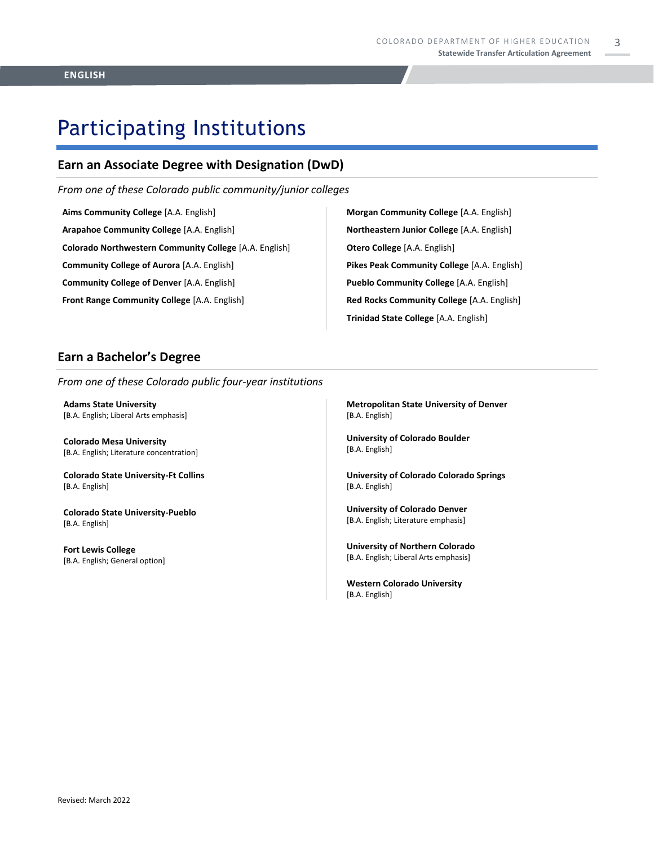## Participating Institutions

### **Earn an Associate Degree with Designation (DwD)**

*From one of these Colorado public community/junior colleges*

**Aims Community College** [A.A. English] **Arapahoe Community College** [A.A. English] **Colorado Northwestern Community College** [A.A. English] **Community College of Aurora** [A.A. English] **Community College of Denver** [A.A. English] **Front Range Community College** [A.A. English]

**Morgan Community College** [A.A. English] **Northeastern Junior College** [A.A. English] **Otero College** [A.A. English] **Pikes Peak Community College** [A.A. English] **Pueblo Community College** [A.A. English] **Red Rocks Community College** [A.A. English] **Trinidad State College** [A.A. English]

#### **Earn a Bachelor's Degree**

*From one of these Colorado public four-year institutions*

**Adams State University**  [B.A. English; Liberal Arts emphasis]

**Colorado Mesa University**  [B.A. English; Literature concentration]

**Colorado State University-Ft Collins**  [B.A. English]

**Colorado State University-Pueblo**  [B.A. English]

**Fort Lewis College**  [B.A. English; General option] **Metropolitan State University of Denver**  [B.A. English]

**University of Colorado Boulder**  [B.A. English]

**University of Colorado Colorado Springs** [B.A. English]

**University of Colorado Denver** [B.A. English; Literature emphasis]

**University of Northern Colorado** [B.A. English; Liberal Arts emphasis]

**Western Colorado University** [B.A. English]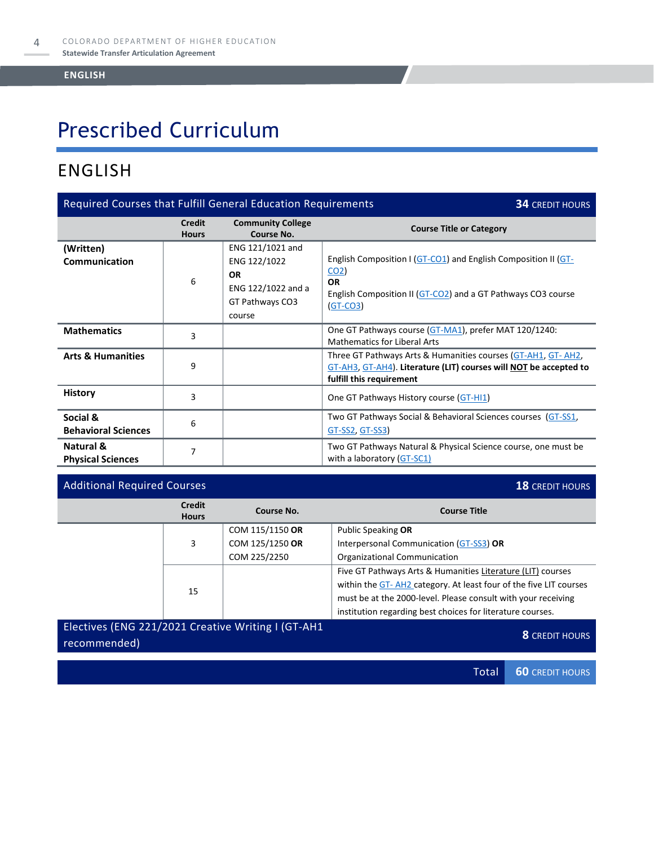# Prescribed Curriculum

### ENGLISH

| Required Courses that Fulfill General Education Requirements<br><b>34 CREDIT HOURS</b> |                               |                                                                                                  |                                                                                                                                                                              |  |
|----------------------------------------------------------------------------------------|-------------------------------|--------------------------------------------------------------------------------------------------|------------------------------------------------------------------------------------------------------------------------------------------------------------------------------|--|
|                                                                                        | <b>Credit</b><br><b>Hours</b> | <b>Community College</b><br>Course No.                                                           | <b>Course Title or Category</b>                                                                                                                                              |  |
| (Written)<br><b>Communication</b>                                                      | 6                             | ENG 121/1021 and<br>ENG 122/1022<br><b>OR</b><br>ENG 122/1022 and a<br>GT Pathways CO3<br>course | English Composition I (GT-CO1) and English Composition II (GT-<br>CO <sub>2</sub><br><b>OR</b><br>English Composition II (GT-CO2) and a GT Pathways CO3 course<br>$(GT-CO3)$ |  |
| <b>Mathematics</b>                                                                     | 3                             |                                                                                                  | One GT Pathways course (GT-MA1), prefer MAT 120/1240:<br><b>Mathematics for Liberal Arts</b>                                                                                 |  |
| <b>Arts &amp; Humanities</b>                                                           | 9                             |                                                                                                  | Three GT Pathways Arts & Humanities courses (GT-AH1, GT- AH2,<br>GT-AH3, GT-AH4). Literature (LIT) courses will NOT be accepted to<br>fulfill this requirement               |  |
| <b>History</b>                                                                         | 3                             |                                                                                                  | One GT Pathways History course (GT-HI1)                                                                                                                                      |  |
| Social &<br><b>Behavioral Sciences</b>                                                 | 6                             |                                                                                                  | Two GT Pathways Social & Behavioral Sciences courses (GT-SS1,<br>GT-SS2, GT-SS3)                                                                                             |  |
| Natural &<br><b>Physical Sciences</b>                                                  | 7                             |                                                                                                  | Two GT Pathways Natural & Physical Science course, one must be<br>with a laboratory (GT-SC1)                                                                                 |  |

| <b>Additional Required Courses</b>                 |                               |                 | <b>18 CREDIT HOURS</b>                                            |  |
|----------------------------------------------------|-------------------------------|-----------------|-------------------------------------------------------------------|--|
|                                                    | <b>Credit</b><br><b>Hours</b> | Course No.      | <b>Course Title</b>                                               |  |
|                                                    |                               | COM 115/1150 OR | Public Speaking OR                                                |  |
|                                                    | 3                             | COM 125/1250 OR | Interpersonal Communication (GT-SS3) OR                           |  |
|                                                    |                               | COM 225/2250    | Organizational Communication                                      |  |
|                                                    |                               |                 | Five GT Pathways Arts & Humanities Literature (LIT) courses       |  |
|                                                    |                               |                 | within the GT-AH2 category. At least four of the five LIT courses |  |
|                                                    | 15                            |                 | must be at the 2000-level. Please consult with your receiving     |  |
|                                                    |                               |                 | institution regarding best choices for literature courses.        |  |
| Electives (ENG 221/2021 Creative Writing I (GT-AH1 |                               |                 |                                                                   |  |

**RECONSTRUMENT CONTROLLER CONTROLLER CONTROLLER CONTROLLER CONTROLLER CONTROLLER CONTROLLER CONTROLLER CONTROLLER**<br> **8** CREDIT HOURS Total **60** CREDIT HOURS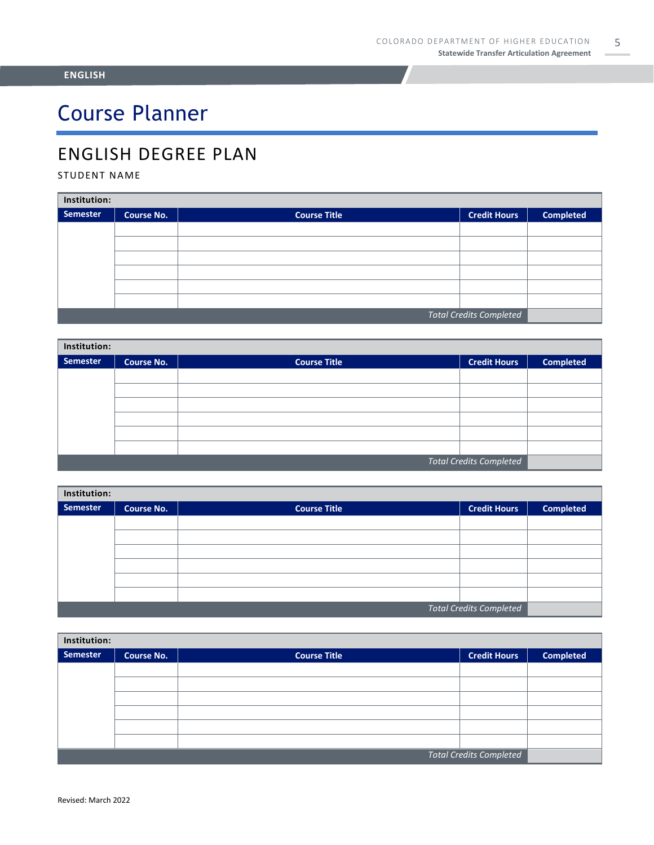# Course Planner

### ENGLISH DEGREE PLAN

#### STUDENT NAME

| Institution:                   |                   |                     |                     |                  |  |
|--------------------------------|-------------------|---------------------|---------------------|------------------|--|
| Semester                       | <b>Course No.</b> | <b>Course Title</b> | <b>Credit Hours</b> | <b>Completed</b> |  |
|                                |                   |                     |                     |                  |  |
|                                |                   |                     |                     |                  |  |
|                                |                   |                     |                     |                  |  |
|                                |                   |                     |                     |                  |  |
|                                |                   |                     |                     |                  |  |
|                                |                   |                     |                     |                  |  |
| <b>Total Credits Completed</b> |                   |                     |                     |                  |  |

| Institution:                   |                   |                     |                     |                  |  |
|--------------------------------|-------------------|---------------------|---------------------|------------------|--|
| <b>Semester</b>                | <b>Course No.</b> | <b>Course Title</b> | <b>Credit Hours</b> | <b>Completed</b> |  |
|                                |                   |                     |                     |                  |  |
|                                |                   |                     |                     |                  |  |
|                                |                   |                     |                     |                  |  |
|                                |                   |                     |                     |                  |  |
|                                |                   |                     |                     |                  |  |
|                                |                   |                     |                     |                  |  |
| <b>Total Credits Completed</b> |                   |                     |                     |                  |  |

| Institution:                   |                   |                     |                     |                  |  |
|--------------------------------|-------------------|---------------------|---------------------|------------------|--|
| <b>Semester</b>                | <b>Course No.</b> | <b>Course Title</b> | <b>Credit Hours</b> | <b>Completed</b> |  |
|                                |                   |                     |                     |                  |  |
|                                |                   |                     |                     |                  |  |
|                                |                   |                     |                     |                  |  |
|                                |                   |                     |                     |                  |  |
|                                |                   |                     |                     |                  |  |
|                                |                   |                     |                     |                  |  |
| <b>Total Credits Completed</b> |                   |                     |                     |                  |  |

| Institution:                   |                   |                     |                     |                  |  |
|--------------------------------|-------------------|---------------------|---------------------|------------------|--|
| Semester                       | <b>Course No.</b> | <b>Course Title</b> | <b>Credit Hours</b> | <b>Completed</b> |  |
|                                |                   |                     |                     |                  |  |
|                                |                   |                     |                     |                  |  |
|                                |                   |                     |                     |                  |  |
|                                |                   |                     |                     |                  |  |
|                                |                   |                     |                     |                  |  |
|                                |                   |                     |                     |                  |  |
| <b>Total Credits Completed</b> |                   |                     |                     |                  |  |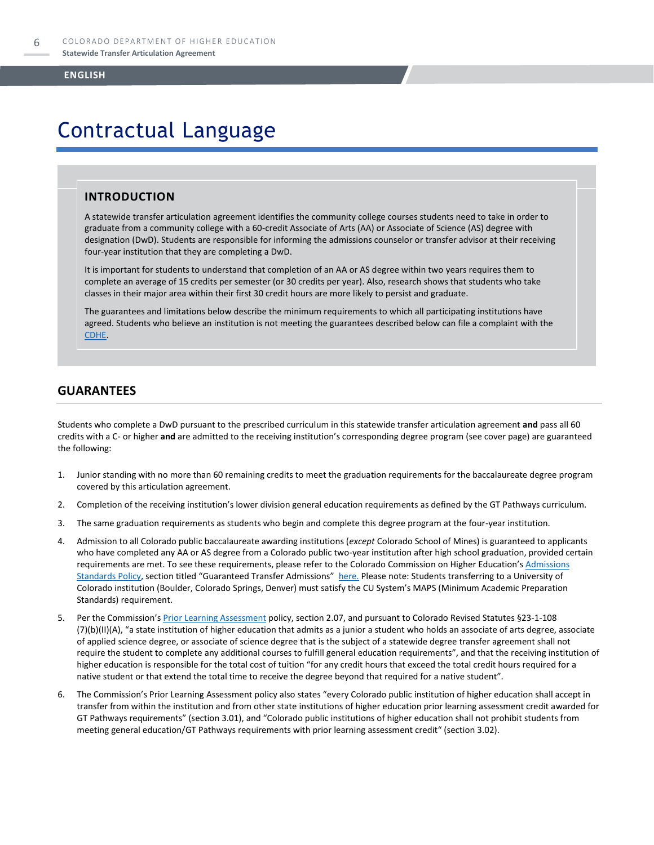# Contractual Language

#### **INTRODUCTION**

A statewide transfer articulation agreement identifies the community college courses students need to take in order to graduate from a community college with a 60-credit Associate of Arts (AA) or Associate of Science (AS) degree with designation (DwD). Students are responsible for informing the admissions counselor or transfer advisor at their receiving four-year institution that they are completing a DwD.

It is important for students to understand that completion of an AA or AS degree within two years requires them to complete an average of 15 credits per semester (or 30 credits per year). Also, research shows that students who take classes in their major area within their first 30 credit hours are more likely to persist and graduate.

The guarantees and limitations below describe the minimum requirements to which all participating institutions have agreed. Students who believe an institution is not meeting the guarantees described below can file a complaint with the [CDHE.](https://highered.colorado.gov/filing-student-complaint)

#### **GUARANTEES**

Students who complete a DwD pursuant to the prescribed curriculum in this statewide transfer articulation agreement **and** pass all 60 credits with a C- or higher **and** are admitted to the receiving institution's corresponding degree program (see cover page) are guaranteed the following:

- 1. Junior standing with no more than 60 remaining credits to meet the graduation requirements for the baccalaureate degree program covered by this articulation agreement.
- 2. Completion of the receiving institution's lower division general education requirements as defined by the GT Pathways curriculum.
- 3. The same graduation requirements as students who begin and complete this degree program at the four-year institution.
- 4. Admission to all Colorado public baccalaureate awarding institutions (*except* Colorado School of Mines) is guaranteed to applicants who have completed any AA or AS degree from a Colorado public two-year institution after high school graduation, provided certain requirements are met. To see these requirements, please refer to the Colorado Commission on Higher Education's Admissions [Standards Policy](https://highered.colorado.gov/sites/highered/files/2020-03/i-partf_0.pdf), section titled "Guaranteed Transfer Admissions" [here.](https://highered.colorado.gov/educators/policy-funding/cche-policies-procedures) Please note: Students transferring to a University of Colorado institution (Boulder, Colorado Springs, Denver) must satisfy the CU System's MAPS (Minimum Academic Preparation Standards) requirement.
- 5. Per the Commission's **[Prior Learning Assessment](https://highered.colorado.gov/sites/highered/files/2020-03/i-partx.pdf)** policy, section 2.07, and pursuant to Colorado Revised Statutes §23-1-108 (7)(b)(II)(A), "a state institution of higher education that admits as a junior a student who holds an associate of arts degree, associate of applied science degree, or associate of science degree that is the subject of a statewide degree transfer agreement shall not require the student to complete any additional courses to fulfill general education requirements", and that the receiving institution of higher education is responsible for the total cost of tuition "for any credit hours that exceed the total credit hours required for a native student or that extend the total time to receive the degree beyond that required for a native student".
- 6. The Commission's Prior Learning Assessment policy also states "every Colorado public institution of higher education shall accept in transfer from within the institution and from other state institutions of higher education prior learning assessment credit awarded for GT Pathways requirements" (section 3.01), and "Colorado public institutions of higher education shall not prohibit students from meeting general education/GT Pathways requirements with prior learning assessment credit" (section 3.02).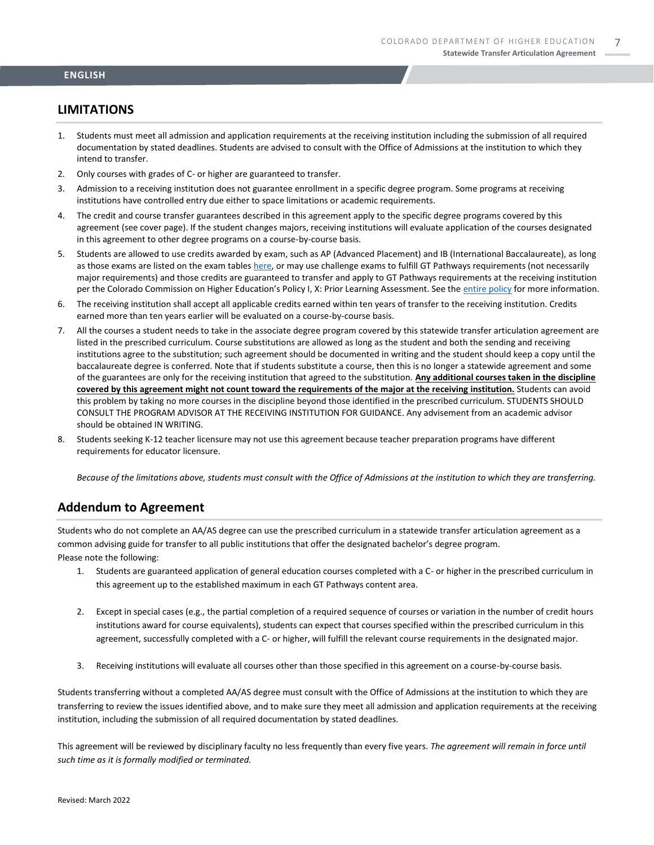#### **LIMITATIONS**

- 1. Students must meet all admission and application requirements at the receiving institution including the submission of all required documentation by stated deadlines. Students are advised to consult with the Office of Admissions at the institution to which they intend to transfer.
- 2. Only courses with grades of C- or higher are guaranteed to transfer.
- 3. Admission to a receiving institution does not guarantee enrollment in a specific degree program. Some programs at receiving institutions have controlled entry due either to space limitations or academic requirements.
- 4. The credit and course transfer guarantees described in this agreement apply to the specific degree programs covered by this agreement (see cover page). If the student changes majors, receiving institutions will evaluate application of the courses designated in this agreement to other degree programs on a course-by-course basis.
- 5. Students are allowed to use credits awarded by exam, such as AP (Advanced Placement) and IB (International Baccalaureate), as long as those exams are listed on the exam table[s here,](https://highered.colorado.gov/get-credit-for-what-you-already-know) or may use challenge exams to fulfill GT Pathways requirements (not necessarily major requirements) and those credits are guaranteed to transfer and apply to GT Pathways requirements at the receiving institution per the Colorado Commission on Higher Education's Policy I, X: Prior Learning Assessment. See the [entire policy](https://highered.colorado.gov/sites/highered/files/2020-03/i-partx.pdf) for more information.
- 6. The receiving institution shall accept all applicable credits earned within ten years of transfer to the receiving institution. Credits earned more than ten years earlier will be evaluated on a course-by-course basis.
- 7. All the courses a student needs to take in the associate degree program covered by this statewide transfer articulation agreement are listed in the prescribed curriculum. Course substitutions are allowed as long as the student and both the sending and receiving institutions agree to the substitution; such agreement should be documented in writing and the student should keep a copy until the baccalaureate degree is conferred. Note that if students substitute a course, then this is no longer a statewide agreement and some of the guarantees are only for the receiving institution that agreed to the substitution. **Any additional courses taken in the discipline covered by this agreement might not count toward the requirements of the major at the receiving institution.** Students can avoid this problem by taking no more courses in the discipline beyond those identified in the prescribed curriculum. STUDENTS SHOULD CONSULT THE PROGRAM ADVISOR AT THE RECEIVING INSTITUTION FOR GUIDANCE. Any advisement from an academic advisor should be obtained IN WRITING.
- 8. Students seeking K-12 teacher licensure may not use this agreement because teacher preparation programs have different requirements for educator licensure.

*Because of the limitations above, students must consult with the Office of Admissions at the institution to which they are transferring.*

#### **Addendum to Agreement**

Students who do not complete an AA/AS degree can use the prescribed curriculum in a statewide transfer articulation agreement as a common advising guide for transfer to all public institutions that offer the designated bachelor's degree program. Please note the following:

- 1. Students are guaranteed application of general education courses completed with a C- or higher in the prescribed curriculum in this agreement up to the established maximum in each GT Pathways content area.
- 2. Except in special cases (e.g., the partial completion of a required sequence of courses or variation in the number of credit hours institutions award for course equivalents), students can expect that courses specified within the prescribed curriculum in this agreement, successfully completed with a C- or higher, will fulfill the relevant course requirements in the designated major.
- 3. Receiving institutions will evaluate all courses other than those specified in this agreement on a course-by-course basis.

Students transferring without a completed AA/AS degree must consult with the Office of Admissions at the institution to which they are transferring to review the issues identified above, and to make sure they meet all admission and application requirements at the receiving institution, including the submission of all required documentation by stated deadlines.

This agreement will be reviewed by disciplinary faculty no less frequently than every five years. *The agreement will remain in force until such time as it is formally modified or terminated.*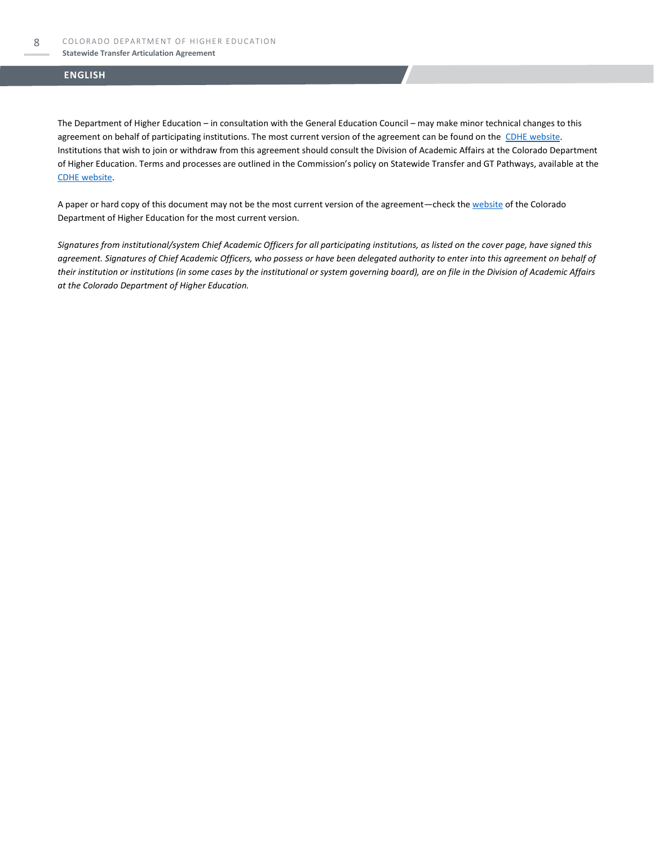#### **Statewide Transfer Articulation Agreement**

#### **ENGLISH**

The Department of Higher Education – in consultation with the General Education Council – may make minor technical changes to this agreement on behalf of participating institutions. The most current version of the agreement can be found on the [CDHE website.](https://highered.colorado.gov/transfer-degrees) Institutions that wish to join or withdraw from this agreement should consult the Division of Academic Affairs at the Colorado Department of Higher Education. Terms and processes are outlined in the Commission's policy on Statewide Transfer and GT Pathways, available at the [CDHE website.](https://highered.colorado.gov/educators/policy-funding/general-education-ge-council/gtpathways/transfer-agreements)

A paper or hard copy of this document may not be the most current version of the agreement—check th[e website](https://highered.colorado.gov/transfer-degrees) of the Colorado Department of Higher Education for the most current version.

*Signatures from institutional/system Chief Academic Officers for all participating institutions, as listed on the cover page, have signed this agreement. Signatures of Chief Academic Officers, who possess or have been delegated authority to enter into this agreement on behalf of their institution or institutions (in some cases by the institutional or system governing board), are on file in the Division of Academic Affairs at the Colorado Department of Higher Education.*